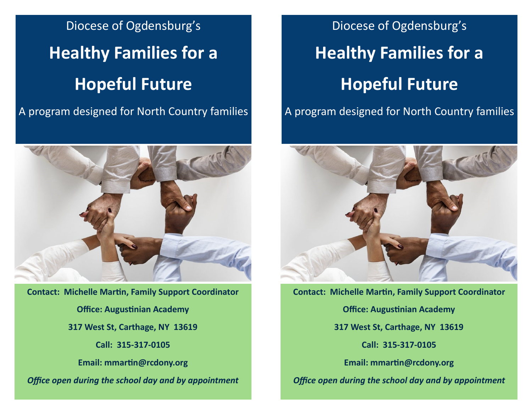Diocese of Ogdensburg's **Healthy Families for a Hopeful Future**

A program designed for North Country families



**Contact: Michelle Martin, Family Support Coordinator Office: Augustinian Academy 317 West St, Carthage, NY 13619 Call: 315-317-0105 Email: mmartin@rcdony.org** *Office open during the school day and by appointment*

Diocese of Ogdensburg's **Healthy Families for a Hopeful Future**

A program designed for North Country families



**Contact: Michelle Martin, Family Support Coordinator Office: Augustinian Academy 317 West St, Carthage, NY 13619 Call: 315-317-0105 Email: mmartin@rcdony.org** *Office open during the school day and by appointment*